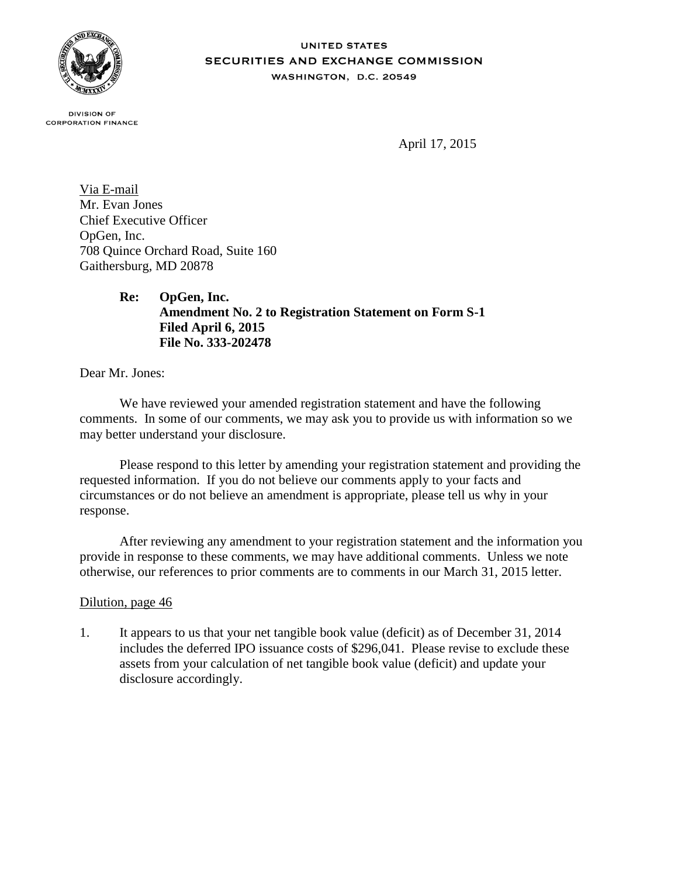

## **UNITED STATES SECURITIES AND EXCHANGE COMMISSION** WASHINGTON, D.C. 20549

**DIVISION OF CORPORATION FINANCE** 

April 17, 2015

Via E-mail Mr. Evan Jones Chief Executive Officer OpGen, Inc. 708 Quince Orchard Road, Suite 160 Gaithersburg, MD 20878

> **Re: OpGen, Inc. Amendment No. 2 to Registration Statement on Form S-1 Filed April 6, 2015 File No. 333-202478**

Dear Mr. Jones:

We have reviewed your amended registration statement and have the following comments. In some of our comments, we may ask you to provide us with information so we may better understand your disclosure.

Please respond to this letter by amending your registration statement and providing the requested information. If you do not believe our comments apply to your facts and circumstances or do not believe an amendment is appropriate, please tell us why in your response.

After reviewing any amendment to your registration statement and the information you provide in response to these comments, we may have additional comments. Unless we note otherwise, our references to prior comments are to comments in our March 31, 2015 letter.

## Dilution, page 46

1. It appears to us that your net tangible book value (deficit) as of December 31, 2014 includes the deferred IPO issuance costs of \$296,041. Please revise to exclude these assets from your calculation of net tangible book value (deficit) and update your disclosure accordingly.